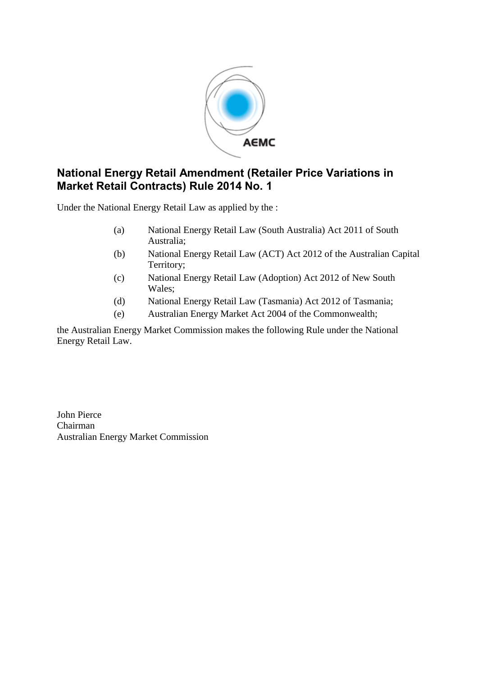

## **National Energy Retail Amendment (Retailer Price Variations in Market Retail Contracts) Rule 2014 No. 1**

Under the National Energy Retail Law as applied by the :

- (a) National Energy Retail Law (South Australia) Act 2011 of South Australia;
- (b) National Energy Retail Law (ACT) Act 2012 of the Australian Capital Territory;
- (c) National Energy Retail Law (Adoption) Act 2012 of New South Wales;
- (d) National Energy Retail Law (Tasmania) Act 2012 of Tasmania;
- (e) Australian Energy Market Act 2004 of the Commonwealth;

the Australian Energy Market Commission makes the following Rule under the National Energy Retail Law.

John Pierce Chairman Australian Energy Market Commission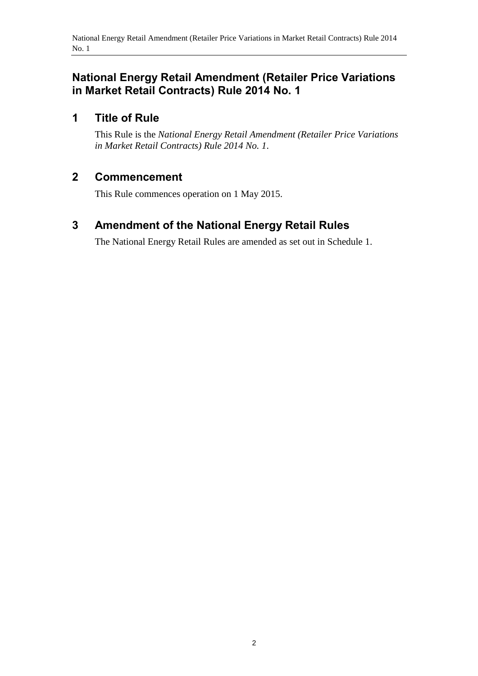### **National Energy Retail Amendment (Retailer Price Variations in Market Retail Contracts) Rule 2014 No. 1**

### **1 Title of Rule**

This Rule is the *National Energy Retail Amendment (Retailer Price Variations in Market Retail Contracts) Rule 2014 No. 1*.

#### **2 Commencement**

This Rule commences operation on 1 May 2015.

# <span id="page-1-0"></span>**3 Amendment of the National Energy Retail Rules**

The National Energy Retail Rules are amended as set out in [Schedule 1.](#page-2-0)